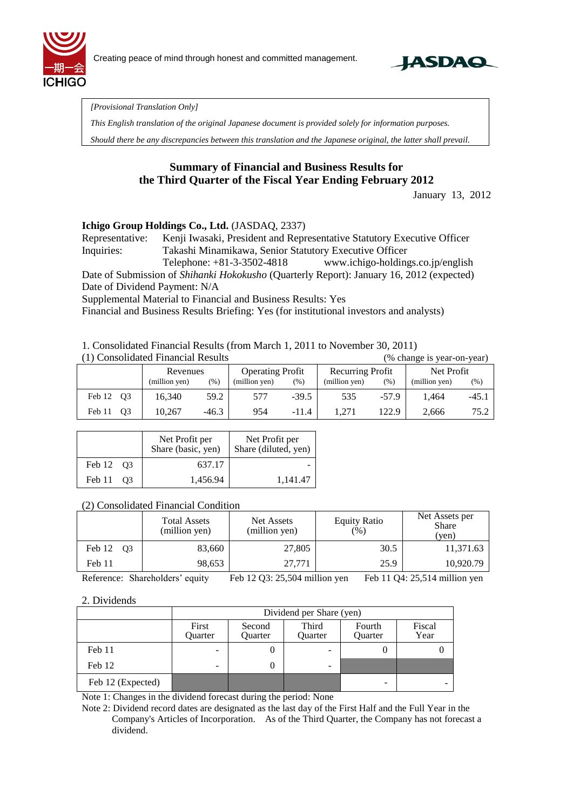



*[Provisional Translation Only]* 

*This English translation of the original Japanese document is provided solely for information purposes.*

*Should there be any discrepancies between this translation and the Japanese original, the latter shall prevail.*

# **Summary of Financial and Business Results for the Third Quarter of the Fiscal Year Ending February 2012**

January 13, 2012

### **Ichigo Group Holdings Co., Ltd.** (JASDAQ, 2337)

Representative: Kenji Iwasaki, President and Representative Statutory Executive Officer Inquiries: Takashi Minamikawa, Senior Statutory Executive Officer Telephone: +81-3-3502-4818 www.ichigo-holdings.co.jp/english

Date of Submission of *Shihanki Hokokusho* (Quarterly Report): January 16, 2012 (expected) Date of Dividend Payment: N/A

Supplemental Material to Financial and Business Results: Yes

Financial and Business Results Briefing: Yes (for institutional investors and analysts)

### 1. Consolidated Financial Results (from March 1, 2011 to November 30, 2011)

| (1) Consolidated Financial Results |                |               |         |                                                    |         | (% change is year-on-year) |         |               |        |
|------------------------------------|----------------|---------------|---------|----------------------------------------------------|---------|----------------------------|---------|---------------|--------|
|                                    | Revenues       |               |         | <b>Recurring Profit</b><br><b>Operating Profit</b> |         | Net Profit                 |         |               |        |
|                                    |                | (million yen) | (% )    | (million yen)                                      | (% )    | (million yen)              | (% )    | (million yen) | $(\%)$ |
| Feb 12 Q3                          |                | 16.340        | 59.2    | 577                                                | $-39.5$ | 535                        | $-57.9$ | 1.464         | -45.1  |
| Feb 11                             | O <sub>3</sub> | 10.267        | $-46.3$ | 954                                                | $-11.4$ | 1.271                      | 122.9   | 2,666         | 75.2   |

|           | Net Profit per<br>Share (basic, yen) | Net Profit per<br>Share (diluted, yen) |
|-----------|--------------------------------------|----------------------------------------|
| Feb 12 Q3 | 637.17                               |                                        |
| Feb 11 03 | 1,456.94                             | 1.141.47                               |

### (2) Consolidated Financial Condition

|              | <b>Total Assets</b><br>(million yen) | Net Assets<br>(million yen) | <b>Equity Ratio</b><br>(% ) | Net Assets per<br><b>Share</b><br>(ven) |
|--------------|--------------------------------------|-----------------------------|-----------------------------|-----------------------------------------|
| Feb 12<br>O3 | 83,660                               | 27,805                      | 30.5                        | 11,371.63                               |
| Feb 11       | 98,653                               | 27.771                      | 25.9                        | 10.920.79                               |

Reference: Shareholders' equity Feb 12 Q3: 25,504 million yen Feb 11 Q4: 25,514 million yen

### 2. Dividends

|                   | Dividend per Share (yen) |                   |                  |                   |                |  |
|-------------------|--------------------------|-------------------|------------------|-------------------|----------------|--|
|                   | First<br>Quarter         | Second<br>Quarter | Third<br>Ouarter | Fourth<br>Quarter | Fiscal<br>Year |  |
| Feb 11            | -                        | O                 |                  |                   |                |  |
| Feb 12            | $\overline{\phantom{0}}$ | $\theta$          |                  |                   |                |  |
| Feb 12 (Expected) |                          |                   |                  |                   |                |  |

Note 1: Changes in the dividend forecast during the period: None

Note 2: Dividend record dates are designated as the last day of the First Half and the Full Year in the Company's Articles of Incorporation. As of the Third Quarter, the Company has not forecast a dividend.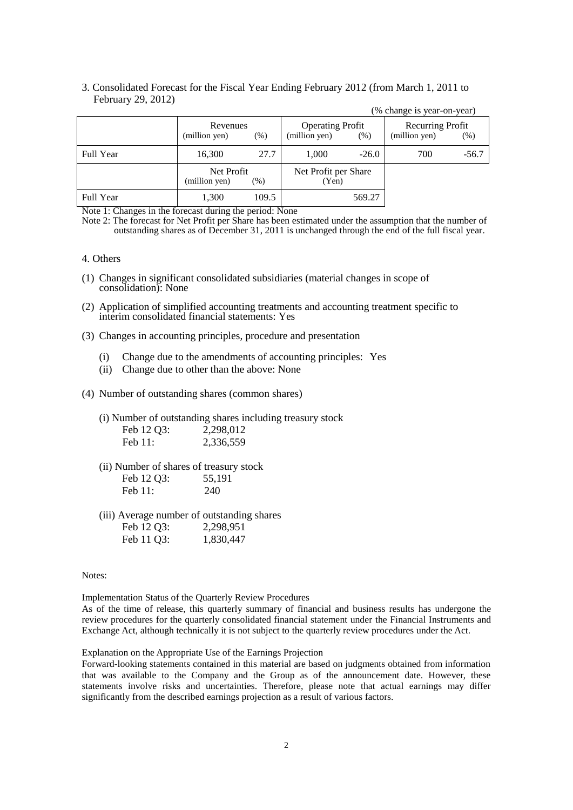### 3. Consolidated Forecast for the Fiscal Year Ending February 2012 (from March 1, 2011 to February 29, 2012)

|                  |                             |        |                                          |         | (% change is year-on-year)        |         |
|------------------|-----------------------------|--------|------------------------------------------|---------|-----------------------------------|---------|
|                  | Revenues<br>(million yen)   | $(\%)$ | <b>Operating Profit</b><br>(million yen) | (% )    | Recurring Profit<br>(million yen) | (% )    |
| <b>Full Year</b> | 16,300                      | 27.7   | 1,000                                    | $-26.0$ | 700                               | $-56.7$ |
|                  | Net Profit<br>(million yen) | (%)    | Net Profit per Share<br>(Yen)            |         |                                   |         |
| <b>Full Year</b> | 1,300                       | 109.5  |                                          | 569.27  |                                   |         |

Note 1: Changes in the forecast during the period: None

Note 2: The forecast for Net Profit per Share has been estimated under the assumption that the number of outstanding shares as of December 31, 2011 is unchanged through the end of the full fiscal year.

#### 4. Others

- (1) Changes in significant consolidated subsidiaries (material changes in scope of consolidation): None
- (2) Application of simplified accounting treatments and accounting treatment specific to interim consolidated financial statements: Yes
- (3) Changes in accounting principles, procedure and presentation
	- (i) Change due to the amendments of accounting principles: Yes
	- (ii) Change due to other than the above: None
- (4) Number of outstanding shares (common shares)
	- (i) Number of outstanding shares including treasury stock  $F_{2}$  12.02

| $FCD$ 12 Q3: | 2,298,012 |
|--------------|-----------|
| Feb $11$ :   | 2,336,559 |

(ii) Number of shares of treasury stock

| Feb 12 Q3: | 55,191 |
|------------|--------|
| Feb $11$ : | 240    |

(iii) Average number of outstanding shares Feb 12 Q3: 2,298,951 Feb 11 O3: 1,830,447

Notes:

Implementation Status of the Quarterly Review Procedures

As of the time of release, this quarterly summary of financial and business results has undergone the review procedures for the quarterly consolidated financial statement under the Financial Instruments and Exchange Act, although technically it is not subject to the quarterly review procedures under the Act.

Explanation on the Appropriate Use of the Earnings Projection

Forward-looking statements contained in this material are based on judgments obtained from information that was available to the Company and the Group as of the announcement date. However, these statements involve risks and uncertainties. Therefore, please note that actual earnings may differ significantly from the described earnings projection as a result of various factors.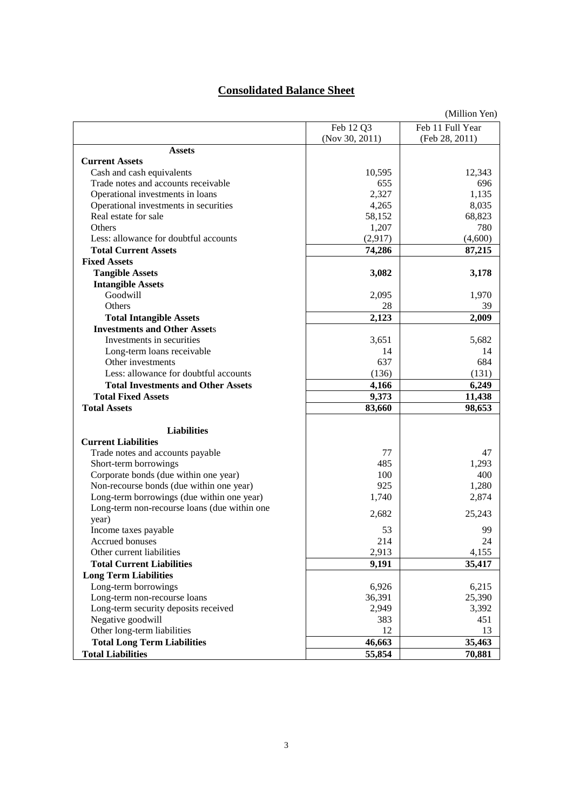## **Consolidated Balance Sheet**

|                                              |                | (Million Yen)    |
|----------------------------------------------|----------------|------------------|
|                                              | Feb 12 Q3      | Feb 11 Full Year |
|                                              | (Nov 30, 2011) | (Feb 28, 2011)   |
| <b>Assets</b>                                |                |                  |
| <b>Current Assets</b>                        |                |                  |
| Cash and cash equivalents                    | 10,595         | 12,343           |
| Trade notes and accounts receivable          | 655            | 696              |
| Operational investments in loans             | 2,327          | 1,135            |
| Operational investments in securities        | 4,265          | 8,035            |
| Real estate for sale                         | 58,152         | 68,823           |
| <b>Others</b>                                | 1,207          | 780              |
| Less: allowance for doubtful accounts        | (2,917)        | (4,600)          |
| <b>Total Current Assets</b>                  | 74,286         | 87,215           |
| <b>Fixed Assets</b>                          |                |                  |
| <b>Tangible Assets</b>                       | 3,082          | 3,178            |
| <b>Intangible Assets</b>                     |                |                  |
| Goodwill                                     | 2,095          | 1,970            |
| <b>Others</b>                                | 28             | 39               |
| <b>Total Intangible Assets</b>               | 2,123          | 2,009            |
| <b>Investments and Other Assets</b>          |                |                  |
| Investments in securities                    | 3,651          | 5,682            |
| Long-term loans receivable                   | 14             | 14               |
| Other investments                            | 637            | 684              |
| Less: allowance for doubtful accounts        | (136)          | (131)            |
| <b>Total Investments and Other Assets</b>    | 4,166          | 6,249            |
| <b>Total Fixed Assets</b>                    | 9,373          | 11,438           |
| <b>Total Assets</b>                          | 83,660         | 98,653           |
|                                              |                |                  |
| <b>Liabilities</b>                           |                |                  |
| <b>Current Liabilities</b>                   |                |                  |
| Trade notes and accounts payable             | 77             | 47               |
| Short-term borrowings                        | 485            | 1,293            |
| Corporate bonds (due within one year)        | 100            | 400              |
| Non-recourse bonds (due within one year)     | 925            | 1,280            |
| Long-term borrowings (due within one year)   | 1,740          | 2,874            |
| Long-term non-recourse loans (due within one | 2,682          | 25,243           |
| year)                                        |                |                  |
| Income taxes payable                         | 53             | 99               |
| Accrued bonuses                              | 214            | 24               |
| Other current liabilities                    | 2,913          | 4,155            |
| <b>Total Current Liabilities</b>             | 9,191          | 35,417           |
| <b>Long Term Liabilities</b>                 |                |                  |
| Long-term borrowings                         | 6,926          | 6,215            |
| Long-term non-recourse loans                 | 36,391         | 25,390           |
| Long-term security deposits received         | 2,949          | 3,392            |
| Negative goodwill                            | 383            | 451              |
| Other long-term liabilities                  | 12             | 13               |
| <b>Total Long Term Liabilities</b>           | 46,663         | 35,463           |
| <b>Total Liabilities</b>                     | 55,854         | 70,881           |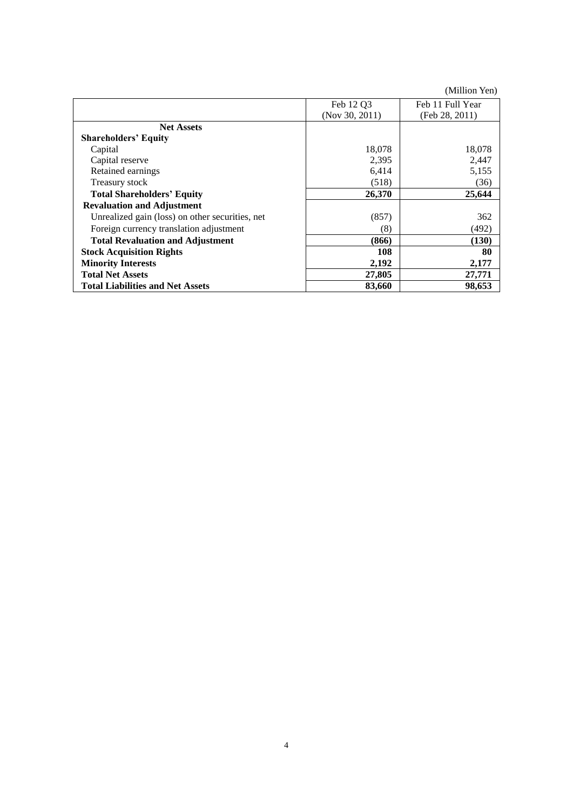|                                                 |                | (Million Yen)    |
|-------------------------------------------------|----------------|------------------|
|                                                 | Feb 12 O3      | Feb 11 Full Year |
|                                                 | (Nov 30, 2011) | (Feb 28, 2011)   |
| <b>Net Assets</b>                               |                |                  |
| <b>Shareholders' Equity</b>                     |                |                  |
| Capital                                         | 18,078         | 18,078           |
| Capital reserve                                 | 2,395          | 2,447            |
| Retained earnings                               | 6,414          | 5,155            |
| Treasury stock                                  | (518)          | (36)             |
| <b>Total Shareholders' Equity</b>               | 26,370         | 25,644           |
| <b>Revaluation and Adjustment</b>               |                |                  |
| Unrealized gain (loss) on other securities, net | (857)          | 362              |
| Foreign currency translation adjustment         | (8)            | (492)            |
| <b>Total Revaluation and Adjustment</b>         | (866)          | (130)            |
| <b>Stock Acquisition Rights</b>                 | 108            | 80               |
| <b>Minority Interests</b>                       | 2,192          | 2,177            |
| <b>Total Net Assets</b>                         | 27,805         | 27,771           |
| <b>Total Liabilities and Net Assets</b>         | 83,660         | 98,653           |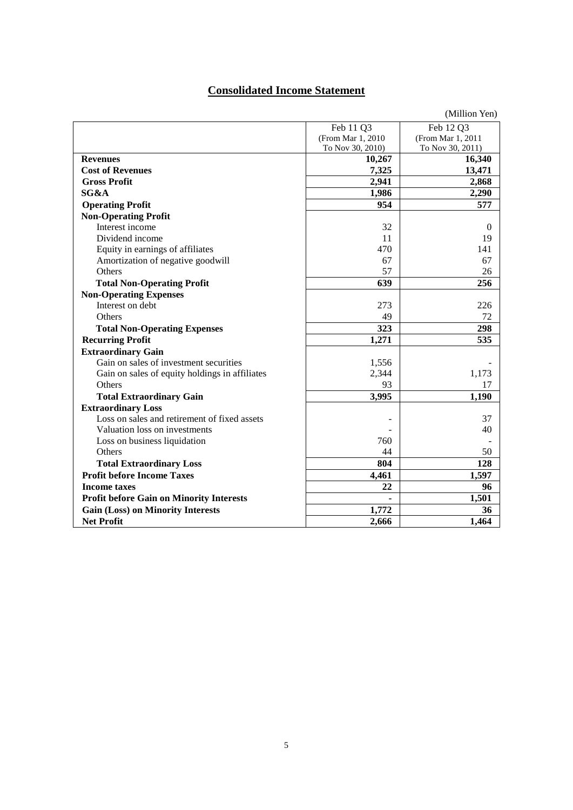## **Consolidated Income Statement**

|                                                 |                    | (Million Yen)     |
|-------------------------------------------------|--------------------|-------------------|
|                                                 | Feb 11 Q3          | Feb 12 Q3         |
|                                                 | (From Mar 1, 2010) | (From Mar 1, 2011 |
|                                                 | To Nov 30, 2010)   | To Nov 30, 2011)  |
| <b>Revenues</b>                                 | 10,267             | 16,340            |
| <b>Cost of Revenues</b>                         | 7,325              | 13,471            |
| <b>Gross Profit</b>                             | 2,941              | 2,868             |
| SG&A                                            | 1,986              | 2,290             |
| <b>Operating Profit</b>                         | 954                | 577               |
| <b>Non-Operating Profit</b>                     |                    |                   |
| Interest income                                 | 32                 | $\Omega$          |
| Dividend income                                 | 11                 | 19                |
| Equity in earnings of affiliates                | 470                | 141               |
| Amortization of negative goodwill               | 67                 | 67                |
| Others                                          | 57                 | 26                |
| <b>Total Non-Operating Profit</b>               | 639                | 256               |
| <b>Non-Operating Expenses</b>                   |                    |                   |
| Interest on debt                                | 273                | 226               |
| Others                                          | 49                 | 72                |
| <b>Total Non-Operating Expenses</b>             | 323                | 298               |
| <b>Recurring Profit</b>                         | 1,271              | 535               |
| <b>Extraordinary Gain</b>                       |                    |                   |
| Gain on sales of investment securities          | 1,556              |                   |
| Gain on sales of equity holdings in affiliates  | 2,344              | 1,173             |
| Others                                          | 93                 | 17                |
| <b>Total Extraordinary Gain</b>                 | 3,995              | 1,190             |
| <b>Extraordinary Loss</b>                       |                    |                   |
| Loss on sales and retirement of fixed assets    |                    | 37                |
| Valuation loss on investments                   |                    | 40                |
| Loss on business liquidation                    | 760                |                   |
| <b>Others</b>                                   | 44                 | 50                |
| <b>Total Extraordinary Loss</b>                 | 804                | 128               |
| <b>Profit before Income Taxes</b>               | 4,461              | 1,597             |
| <b>Income taxes</b>                             | 22                 | 96                |
| <b>Profit before Gain on Minority Interests</b> | ä,                 | 1,501             |
| <b>Gain (Loss) on Minority Interests</b>        | 1,772              | 36                |
| <b>Net Profit</b>                               | 2,666              | 1,464             |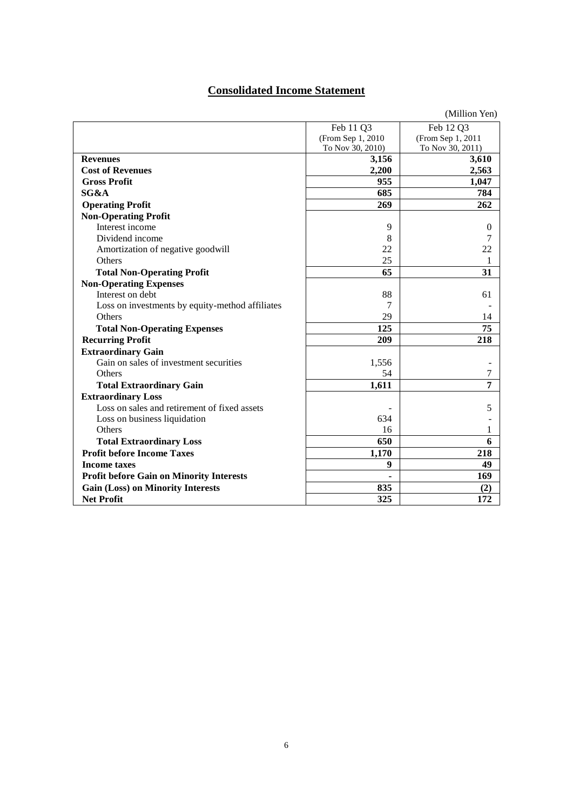## **Consolidated Income Statement**

|                                                 |                   | (Million Yen)     |
|-------------------------------------------------|-------------------|-------------------|
|                                                 | Feb 11 Q3         | Feb 12 Q3         |
|                                                 | (From Sep 1, 2010 | (From Sep 1, 2011 |
|                                                 | To Nov 30, 2010)  | To Nov 30, 2011)  |
| <b>Revenues</b>                                 | 3,156             | 3,610             |
| <b>Cost of Revenues</b>                         | 2,200             | 2,563             |
| <b>Gross Profit</b>                             | 955               | 1,047             |
| SG&A                                            | 685               | 784               |
| <b>Operating Profit</b>                         | 269               | 262               |
| <b>Non-Operating Profit</b>                     |                   |                   |
| Interest income                                 | 9                 | $\Omega$          |
| Dividend income                                 | 8                 |                   |
| Amortization of negative goodwill               | 22                | 22                |
| Others                                          | 25                | 1                 |
| <b>Total Non-Operating Profit</b>               | 65                | 31                |
| <b>Non-Operating Expenses</b>                   |                   |                   |
| Interest on debt                                | 88                | 61                |
| Loss on investments by equity-method affiliates | 7                 |                   |
| <b>Others</b>                                   | 29                | 14                |
| <b>Total Non-Operating Expenses</b>             | 125               | 75                |
| <b>Recurring Profit</b>                         | 209               | 218               |
| <b>Extraordinary Gain</b>                       |                   |                   |
| Gain on sales of investment securities          | 1,556             |                   |
| Others                                          | 54                | 7                 |
| <b>Total Extraordinary Gain</b>                 | 1,611             | 7                 |
| <b>Extraordinary Loss</b>                       |                   |                   |
| Loss on sales and retirement of fixed assets    |                   | 5                 |
| Loss on business liquidation                    | 634               |                   |
| Others                                          | 16                | 1                 |
| <b>Total Extraordinary Loss</b>                 | 650               | 6                 |
| <b>Profit before Income Taxes</b>               | 1,170             | 218               |
| <b>Income taxes</b>                             | 9                 | 49                |
| <b>Profit before Gain on Minority Interests</b> |                   | 169               |
| <b>Gain (Loss) on Minority Interests</b>        | 835               | (2)               |
| <b>Net Profit</b>                               | 325               | 172               |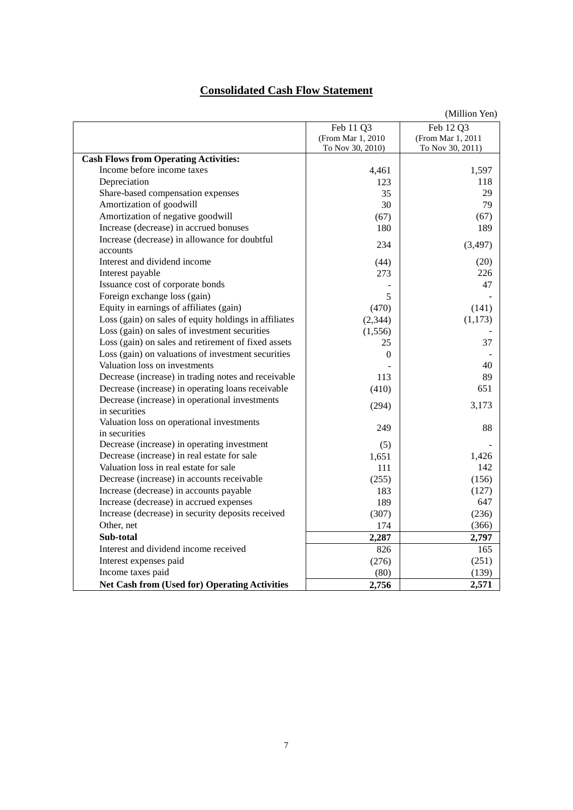## **Consolidated Cash Flow Statement**

|                                                            |                   | (Million Yen)      |
|------------------------------------------------------------|-------------------|--------------------|
|                                                            | Feb 11 Q3         | Feb 12 Q3          |
|                                                            | (From Mar 1, 2010 | (From Mar 1, 2011) |
|                                                            | To Nov 30, 2010)  | To Nov 30, 2011)   |
| <b>Cash Flows from Operating Activities:</b>               |                   |                    |
| Income before income taxes                                 | 4,461             | 1,597              |
| Depreciation                                               | 123               | 118                |
| Share-based compensation expenses                          | 35                | 29                 |
| Amortization of goodwill                                   | 30                | 79                 |
| Amortization of negative goodwill                          | (67)              | (67)               |
| Increase (decrease) in accrued bonuses                     | 180               | 189                |
| Increase (decrease) in allowance for doubtful              | 234               | (3, 497)           |
| accounts                                                   |                   |                    |
| Interest and dividend income                               | (44)              | (20)               |
| Interest payable                                           | 273               | 226                |
| Issuance cost of corporate bonds                           |                   | 47                 |
| Foreign exchange loss (gain)                               | 5                 |                    |
| Equity in earnings of affiliates (gain)                    | (470)             | (141)              |
| Loss (gain) on sales of equity holdings in affiliates      | (2, 344)          | (1,173)            |
| Loss (gain) on sales of investment securities              | (1,556)           |                    |
| Loss (gain) on sales and retirement of fixed assets        | 25                | 37                 |
| Loss (gain) on valuations of investment securities         | $\theta$          |                    |
| Valuation loss on investments                              |                   | 40                 |
| Decrease (increase) in trading notes and receivable        | 113               | 89                 |
| Decrease (increase) in operating loans receivable          | (410)             | 651                |
| Decrease (increase) in operational investments             | (294)             | 3,173              |
| in securities                                              |                   |                    |
| Valuation loss on operational investments<br>in securities | 249               | 88                 |
| Decrease (increase) in operating investment                | (5)               |                    |
| Decrease (increase) in real estate for sale                | 1,651             | 1,426              |
| Valuation loss in real estate for sale                     | 111               | 142                |
| Decrease (increase) in accounts receivable                 | (255)             | (156)              |
| Increase (decrease) in accounts payable                    | 183               | (127)              |
| Increase (decrease) in accrued expenses                    | 189               | 647                |
| Increase (decrease) in security deposits received          | (307)             | (236)              |
| Other, net                                                 | 174               | (366)              |
| Sub-total                                                  | 2,287             | 2,797              |
| Interest and dividend income received                      | 826               | 165                |
| Interest expenses paid                                     | (276)             | (251)              |
| Income taxes paid                                          | (80)              | (139)              |
| <b>Net Cash from (Used for) Operating Activities</b>       | 2,756             | 2,571              |
|                                                            |                   |                    |